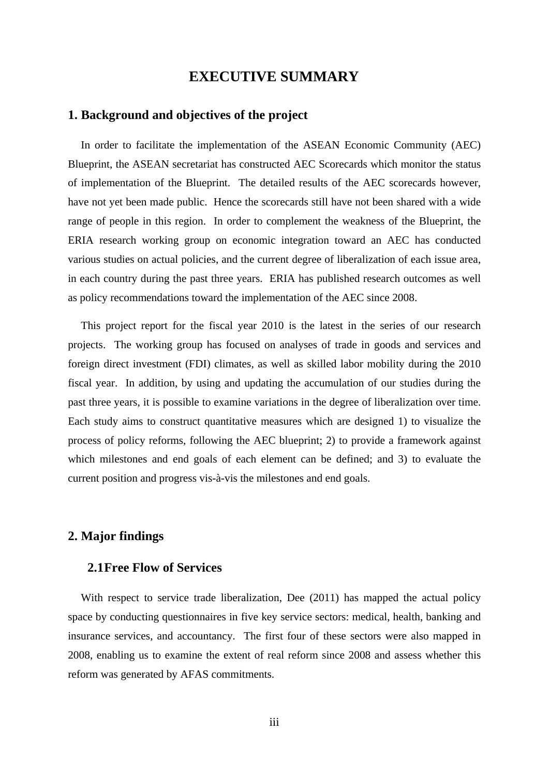# **EXECUTIVE SUMMARY**

### **1. Background and objectives of the project**

In order to facilitate the implementation of the ASEAN Economic Community (AEC) Blueprint, the ASEAN secretariat has constructed AEC Scorecards which monitor the status of implementation of the Blueprint. The detailed results of the AEC scorecards however, have not yet been made public. Hence the scorecards still have not been shared with a wide range of people in this region. In order to complement the weakness of the Blueprint, the ERIA research working group on economic integration toward an AEC has conducted various studies on actual policies, and the current degree of liberalization of each issue area, in each country during the past three years. ERIA has published research outcomes as well as policy recommendations toward the implementation of the AEC since 2008.

This project report for the fiscal year 2010 is the latest in the series of our research projects. The working group has focused on analyses of trade in goods and services and foreign direct investment (FDI) climates, as well as skilled labor mobility during the 2010 fiscal year. In addition, by using and updating the accumulation of our studies during the past three years, it is possible to examine variations in the degree of liberalization over time. Each study aims to construct quantitative measures which are designed 1) to visualize the process of policy reforms, following the AEC blueprint; 2) to provide a framework against which milestones and end goals of each element can be defined; and 3) to evaluate the current position and progress vis-à-vis the milestones and end goals.

# **2. Major findings**

# **2.1Free Flow of Services**

With respect to service trade liberalization, Dee (2011) has mapped the actual policy space by conducting questionnaires in five key service sectors: medical, health, banking and insurance services, and accountancy. The first four of these sectors were also mapped in 2008, enabling us to examine the extent of real reform since 2008 and assess whether this reform was generated by AFAS commitments.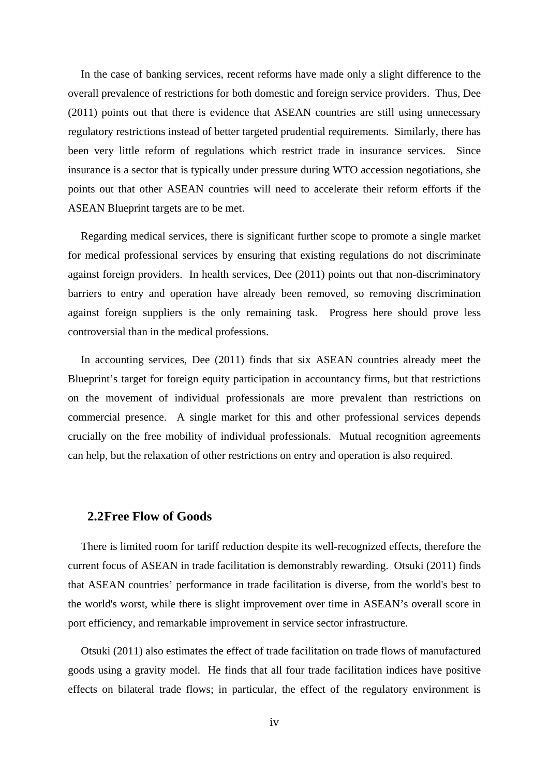In the case of banking services, recent reforms have made only a slight difference to the overall prevalence of restrictions for both domestic and foreign service providers. Thus, Dee (2011) points out that there is evidence that ASEAN countries are still using unnecessary regulatory restrictions instead of better targeted prudential requirements. Similarly, there has been very little reform of regulations which restrict trade in insurance services. Since insurance is a sector that is typically under pressure during WTO accession negotiations, she points out that other ASEAN countries will need to accelerate their reform efforts if the ASEAN Blueprint targets are to be met.

Regarding medical services, there is significant further scope to promote a single market for medical professional services by ensuring that existing regulations do not discriminate against foreign providers. In health services, Dee (2011) points out that non-discriminatory barriers to entry and operation have already been removed, so removing discrimination against foreign suppliers is the only remaining task. Progress here should prove less controversial than in the medical professions.

In accounting services, Dee (2011) finds that six ASEAN countries already meet the Blueprint's target for foreign equity participation in accountancy firms, but that restrictions on the movement of individual professionals are more prevalent than restrictions on commercial presence. A single market for this and other professional services depends crucially on the free mobility of individual professionals. Mutual recognition agreements can help, but the relaxation of other restrictions on entry and operation is also required.

### **2.2Free Flow of Goods**

There is limited room for tariff reduction despite its well-recognized effects, therefore the current focus of ASEAN in trade facilitation is demonstrably rewarding. Otsuki (2011) finds that ASEAN countries' performance in trade facilitation is diverse, from the world's best to the world's worst, while there is slight improvement over time in ASEAN's overall score in port efficiency, and remarkable improvement in service sector infrastructure.

Otsuki (2011) also estimates the effect of trade facilitation on trade flows of manufactured goods using a gravity model. He finds that all four trade facilitation indices have positive effects on bilateral trade flows; in particular, the effect of the regulatory environment is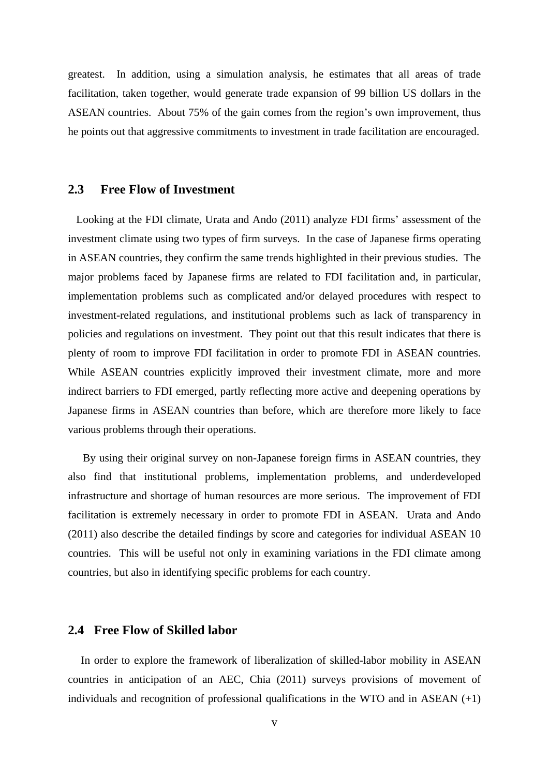greatest. In addition, using a simulation analysis, he estimates that all areas of trade facilitation, taken together, would generate trade expansion of 99 billion US dollars in the ASEAN countries. About 75% of the gain comes from the region's own improvement, thus he points out that aggressive commitments to investment in trade facilitation are encouraged.

## **2.3 Free Flow of Investment**

Looking at the FDI climate, Urata and Ando (2011) analyze FDI firms' assessment of the investment climate using two types of firm surveys. In the case of Japanese firms operating in ASEAN countries, they confirm the same trends highlighted in their previous studies. The major problems faced by Japanese firms are related to FDI facilitation and, in particular, implementation problems such as complicated and/or delayed procedures with respect to investment-related regulations, and institutional problems such as lack of transparency in policies and regulations on investment. They point out that this result indicates that there is plenty of room to improve FDI facilitation in order to promote FDI in ASEAN countries. While ASEAN countries explicitly improved their investment climate, more and more indirect barriers to FDI emerged, partly reflecting more active and deepening operations by Japanese firms in ASEAN countries than before, which are therefore more likely to face various problems through their operations.

By using their original survey on non-Japanese foreign firms in ASEAN countries, they also find that institutional problems, implementation problems, and underdeveloped infrastructure and shortage of human resources are more serious. The improvement of FDI facilitation is extremely necessary in order to promote FDI in ASEAN. Urata and Ando (2011) also describe the detailed findings by score and categories for individual ASEAN 10 countries. This will be useful not only in examining variations in the FDI climate among countries, but also in identifying specific problems for each country.

# **2.4 Free Flow of Skilled labor**

In order to explore the framework of liberalization of skilled-labor mobility in ASEAN countries in anticipation of an AEC, Chia (2011) surveys provisions of movement of individuals and recognition of professional qualifications in the WTO and in ASEAN  $(+1)$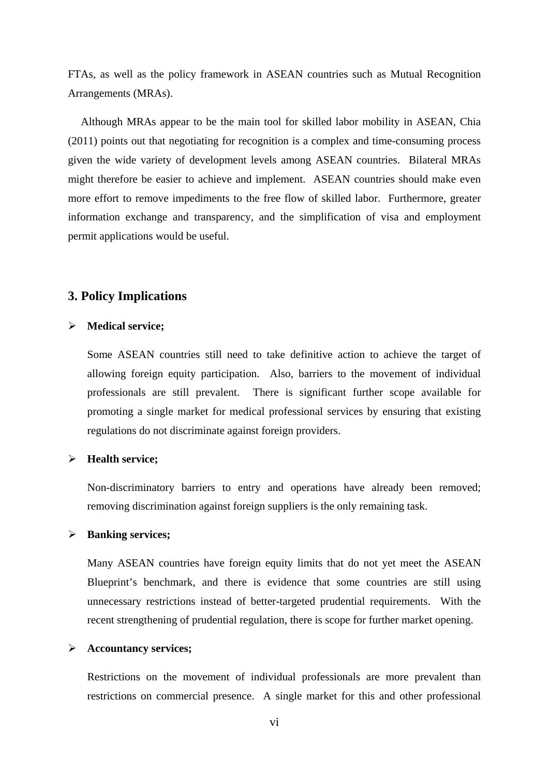FTAs, as well as the policy framework in ASEAN countries such as Mutual Recognition Arrangements (MRAs).

Although MRAs appear to be the main tool for skilled labor mobility in ASEAN, Chia (2011) points out that negotiating for recognition is a complex and time-consuming process given the wide variety of development levels among ASEAN countries. Bilateral MRAs might therefore be easier to achieve and implement. ASEAN countries should make even more effort to remove impediments to the free flow of skilled labor. Furthermore, greater information exchange and transparency, and the simplification of visa and employment permit applications would be useful.

# **3. Policy Implications**

#### ¾ **Medical service;**

Some ASEAN countries still need to take definitive action to achieve the target of allowing foreign equity participation. Also, barriers to the movement of individual professionals are still prevalent. There is significant further scope available for promoting a single market for medical professional services by ensuring that existing regulations do not discriminate against foreign providers.

## ¾ **Health service;**

Non-discriminatory barriers to entry and operations have already been removed; removing discrimination against foreign suppliers is the only remaining task.

#### ¾ **Banking services;**

Many ASEAN countries have foreign equity limits that do not yet meet the ASEAN Blueprint's benchmark, and there is evidence that some countries are still using unnecessary restrictions instead of better-targeted prudential requirements. With the recent strengthening of prudential regulation, there is scope for further market opening.

#### ¾ **Accountancy services;**

Restrictions on the movement of individual professionals are more prevalent than restrictions on commercial presence. A single market for this and other professional